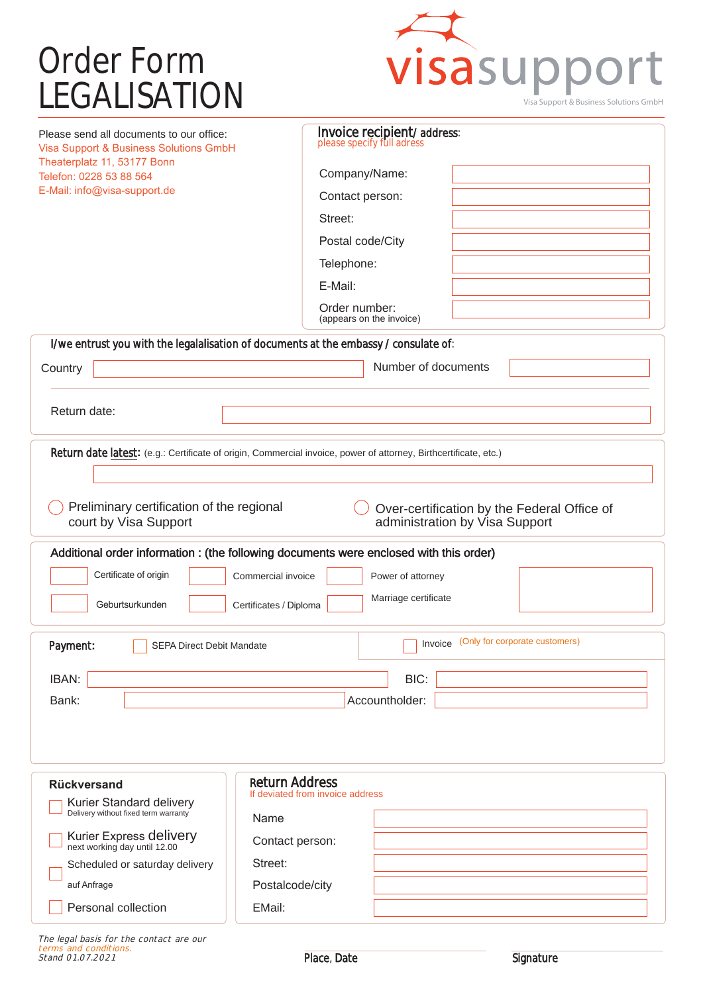## Order Form<br>LEGALISATION



| Please send all documents to our office:<br>Visa Support & Business Solutions GmbH                                                                  | Invoice recipient/address:<br>please specify full adress                                                         |  |
|-----------------------------------------------------------------------------------------------------------------------------------------------------|------------------------------------------------------------------------------------------------------------------|--|
| Theaterplatz 11, 53177 Bonn<br>Telefon: 0228 53 88 564                                                                                              | Company/Name:                                                                                                    |  |
| E-Mail: info@visa-support.de                                                                                                                        | Contact person:                                                                                                  |  |
|                                                                                                                                                     | Street:                                                                                                          |  |
|                                                                                                                                                     | Postal code/City                                                                                                 |  |
|                                                                                                                                                     | Telephone:                                                                                                       |  |
|                                                                                                                                                     | E-Mail:                                                                                                          |  |
|                                                                                                                                                     | Order number:<br>(appears on the invoice)                                                                        |  |
| I/we entrust you with the legalalisation of documents at the embassy / consulate of:                                                                |                                                                                                                  |  |
| Country                                                                                                                                             | Number of documents                                                                                              |  |
|                                                                                                                                                     |                                                                                                                  |  |
| Return date:                                                                                                                                        |                                                                                                                  |  |
|                                                                                                                                                     |                                                                                                                  |  |
|                                                                                                                                                     | Return date latest: (e.g.: Certificate of origin, Commercial invoice, power of attorney, Birthcertificate, etc.) |  |
|                                                                                                                                                     |                                                                                                                  |  |
| Preliminary certification of the regional<br>Over-certification by the Federal Office of<br>administration by Visa Support<br>court by Visa Support |                                                                                                                  |  |
| Additional order information : (the following documents were enclosed with this order)                                                              |                                                                                                                  |  |
| Certificate of origin<br>Commercial invoice                                                                                                         | Power of attorney                                                                                                |  |
| Geburtsurkunden                                                                                                                                     | Marriage certificate<br>Certificates / Diploma                                                                   |  |
|                                                                                                                                                     |                                                                                                                  |  |
| Payment:<br>SEPA Direct Debit Mandate                                                                                                               | Invoice (Only for corporate customers)                                                                           |  |
| IBAN:                                                                                                                                               | BIC:                                                                                                             |  |
| Bank:                                                                                                                                               | Accountholder:                                                                                                   |  |
|                                                                                                                                                     |                                                                                                                  |  |
| <b>Return Address</b><br><b>Rückversand</b><br>If deviated from invoice address                                                                     |                                                                                                                  |  |
| Kurier Standard delivery<br>Delivery without fixed term warranty<br>Name                                                                            |                                                                                                                  |  |
|                                                                                                                                                     |                                                                                                                  |  |
| Kurier Express delivery<br>next working day until 12.00<br>Street:                                                                                  | Contact person:                                                                                                  |  |
| Scheduled or saturday delivery<br>auf Anfrage                                                                                                       | Postalcode/city                                                                                                  |  |
| Personal collection<br>EMail:                                                                                                                       |                                                                                                                  |  |
|                                                                                                                                                     |                                                                                                                  |  |